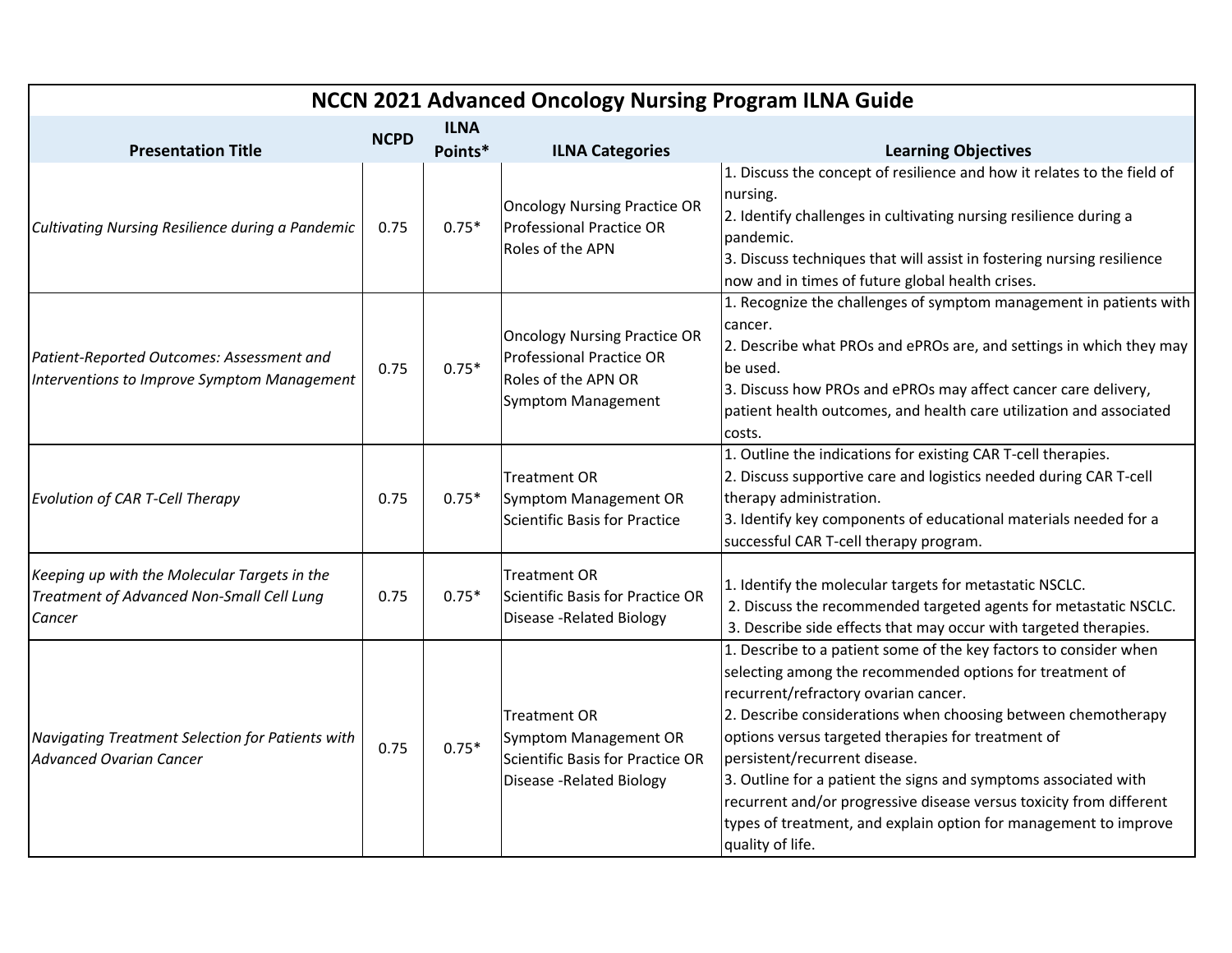| NCCN 2021 Advanced Oncology Nursing Program ILNA Guide                                              |             |                        |                                                                                                                            |                                                                                                                                                                                                                                                                                                                                                                                                                                                                                                                                                                 |  |  |  |
|-----------------------------------------------------------------------------------------------------|-------------|------------------------|----------------------------------------------------------------------------------------------------------------------------|-----------------------------------------------------------------------------------------------------------------------------------------------------------------------------------------------------------------------------------------------------------------------------------------------------------------------------------------------------------------------------------------------------------------------------------------------------------------------------------------------------------------------------------------------------------------|--|--|--|
| <b>Presentation Title</b>                                                                           | <b>NCPD</b> | <b>ILNA</b><br>Points* | <b>ILNA Categories</b>                                                                                                     | <b>Learning Objectives</b>                                                                                                                                                                                                                                                                                                                                                                                                                                                                                                                                      |  |  |  |
| Cultivating Nursing Resilience during a Pandemic                                                    | 0.75        | $0.75*$                | <b>Oncology Nursing Practice OR</b><br><b>Professional Practice OR</b><br>Roles of the APN                                 | 1. Discuss the concept of resilience and how it relates to the field of<br>nursing.<br>2. Identify challenges in cultivating nursing resilience during a<br>pandemic.<br>3. Discuss techniques that will assist in fostering nursing resilience<br>now and in times of future global health crises.                                                                                                                                                                                                                                                             |  |  |  |
| Patient-Reported Outcomes: Assessment and<br>Interventions to Improve Symptom Management            | 0.75        | $0.75*$                | <b>Oncology Nursing Practice OR</b><br><b>Professional Practice OR</b><br>Roles of the APN OR<br><b>Symptom Management</b> | 1. Recognize the challenges of symptom management in patients with<br>cancer.<br>2. Describe what PROs and ePROs are, and settings in which they may<br>be used.<br>3. Discuss how PROs and ePROs may affect cancer care delivery,<br>patient health outcomes, and health care utilization and associated<br>costs.                                                                                                                                                                                                                                             |  |  |  |
| Evolution of CAR T-Cell Therapy                                                                     | 0.75        | $0.75*$                | <b>Treatment OR</b><br>Symptom Management OR<br>Scientific Basis for Practice                                              | 1. Outline the indications for existing CAR T-cell therapies.<br>2. Discuss supportive care and logistics needed during CAR T-cell<br>therapy administration.<br>3. Identify key components of educational materials needed for a<br>successful CAR T-cell therapy program.                                                                                                                                                                                                                                                                                     |  |  |  |
| Keeping up with the Molecular Targets in the<br>Treatment of Advanced Non-Small Cell Lung<br>Cancer | 0.75        | $0.75*$                | <b>Treatment OR</b><br>Scientific Basis for Practice OR<br><b>Disease -Related Biology</b>                                 | 1. Identify the molecular targets for metastatic NSCLC.<br>2. Discuss the recommended targeted agents for metastatic NSCLC.<br>3. Describe side effects that may occur with targeted therapies.                                                                                                                                                                                                                                                                                                                                                                 |  |  |  |
| Navigating Treatment Selection for Patients with<br><b>Advanced Ovarian Cancer</b>                  | 0.75        | $0.75*$                | <b>Treatment OR</b><br><b>Symptom Management OR</b><br>Scientific Basis for Practice OR<br>Disease - Related Biology       | 1. Describe to a patient some of the key factors to consider when<br>selecting among the recommended options for treatment of<br>recurrent/refractory ovarian cancer.<br>2. Describe considerations when choosing between chemotherapy<br>options versus targeted therapies for treatment of<br>persistent/recurrent disease.<br>3. Outline for a patient the signs and symptoms associated with<br>recurrent and/or progressive disease versus toxicity from different<br>types of treatment, and explain option for management to improve<br>quality of life. |  |  |  |